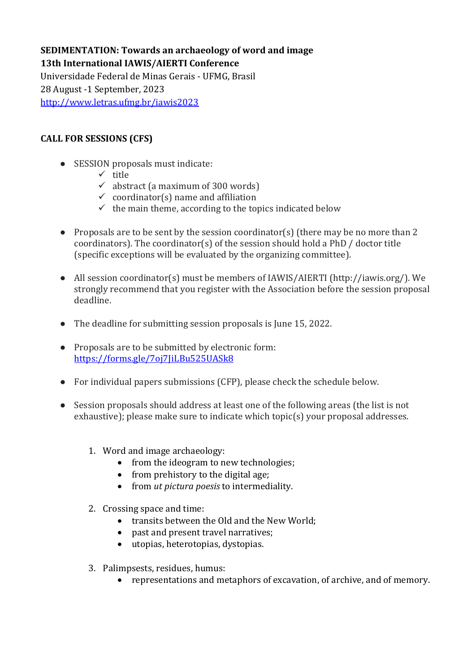# **SEDIMENTATION: Towards an archaeology of word and image 13th International IAWIS/AIERTI Conference**

Universidade Federal de Minas Gerais - UFMG, Brasil 28 August -1 September, 2023 <http://www.letras.ufmg.br/iawis2023>

## **CALL FOR SESSIONS (CFS)**

- SESSION proposals must indicate:
	- $\checkmark$  title
	- $\checkmark$  abstract (a maximum of 300 words)
	- $\checkmark$  coordinator(s) name and affiliation
	- $\checkmark$  the main theme, according to the topics indicated below
- Proposals are to be sent by the session coordinator(s) (there may be no more than 2 coordinators). The coordinator(s) of the session should hold a PhD / doctor title (specific exceptions will be evaluated by the organizing committee).
- All session coordinator(s) must be members of IAWIS/AIERTI (http://iawis.org/). We strongly recommend that you register with the Association before the session proposal deadline.
- The deadline for submitting session proposals is June 15, 2022.
- Proposals are to be submitted by electronic form: <https://forms.gle/7oj7JiLBu525UASk8>
- For individual papers submissions (CFP), please check the schedule below.
- Session proposals should address at least one of the following areas (the list is not exhaustive); please make sure to indicate which topic(s) your proposal addresses.
	- 1. Word and image archaeology:
		- from the ideogram to new technologies;
		- from prehistory to the digital age;
		- from *ut pictura poesis* to intermediality.
	- 2. Crossing space and time:
		- transits between the Old and the New World;
		- past and present travel narratives;
		- utopias, heterotopias, dystopias.
	- 3. Palimpsests, residues, humus:
		- representations and metaphors of excavation, of archive, and of memory.